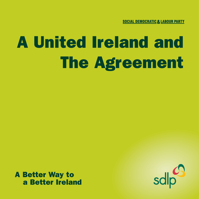# A United Ireland and The Agreement

A Better Way to a Better Ireland

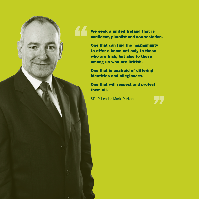We seek a united Ireland that is confident, pluralist and non-sectarian.

One that can find the magnaminity to offer a home not only to those who are Irish, but also to those among us who are British.

One that is unafraid of differing identities and allegiances.

One that will respect and protect them all.

SDLP Leader Mark Durkan

"

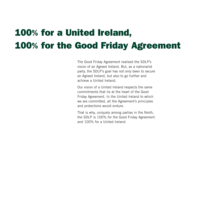# 100% for a United Ireland, 100% for the Good Friday Agreement

The Good Friday Agreement realised the SDLP's vision of an Agreed Ireland. But, as a nationalist party, the SDLP's goal has not only been to secure an Agreed Ireland, but also to go further and achieve a United Ireland.

Our vision of a United Ireland respects the same commitments that lie at the heart of the Good Friday Agreement. In the United Ireland to which we are committed, all the Agreement's principles and protections would endure.

That is why, uniquely among parties in the North, the SDLP is 100% for the Good Friday Agreement and 100% for a United Ireland.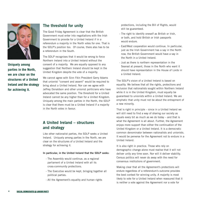

**Uniquely among parties in the North, we are clear on the structures of a United Ireland and the strategy for achieving it.**

## **The threshold for unity**

The Good Friday Agreement is clear that the British Government must enter into negotiations with the Irish Government to provide for a United Ireland if in a referendum a majority in the North votes for one. That is the SDLP's position too. Of course, there also has to be a referendum in the South.

The SDLP recognises that it would be wrong to force Northern Ireland into a United Ireland without the consent of a majority. We are equally opposed to any suggestion that Northern Ireland should be kept in the United Kingdom despite the vote of a majority.

We cannot agree with Sinn Féin President Gerry Adams that unionist "consent and assent" would be required to bring about a United Ireland. Nor can we agree with Jeffrey Donaldson and other unionist politicians who have advocated the same position. The threshold for a United Ireland cannot be any higher than for a United Kingdom. Uniquely among the main parties in the North, the SDLP is clear that there must be a United Ireland if a majority in the North votes in favour.

# **A United Ireland – structures and strategy**

Like other nationalist parties, the SDLP seeks a United Ireland. Uniquely among parties in the North, we are clear on the structures of a United Ireland and the strategy for achieving it.

#### **In particular, in the United Ireland that the SDLP seeks:**

- The Assembly would continue, as a regional parliament of a United Ireland with all its cross-community protections.
- The Executive would be kept, bringing together all political parties.
- All the Agreement's equality and human rights

protections, including the Bill of Rights, would still be guaranteed.

- The right to identify oneself as British or Irish, or both, and hold British or Irish passports would endure.
- East/West cooperation would continue. In particular, just as the Irish Government has a say in the North now, the British Government would have a say in the North in a United Ireland.
- Just as there is northern representation in the Seanad at present, those in the North who want it should have representation in the House of Lords in a United Ireland.

The SDLP's vision of a United Ireland is based on equality. We believe that all the rights, protections and inclusion that nationalists sought within Northern Ireland while it is in the United Kingdom, must equally be guaranteed to unionists within a United Ireland. We are emphatic that unity must not be about the entrapment of a new minority.

That is right in principle – since in a United Ireland we will still need to find a way of sharing our society as equals every bit as much as we do today – and that is what the Agreement is all about. Further, the Agreement enjoys more support than either the continuation of the United Kingdom or a United Ireland. It is a democratic common denominator between nationalists and unionists. It would be perverse for the Agreement not to endure in a United Ireland.

It is also right in practice. Those who rely on demographic change alone must realise that it will not deliver unity any time soon. Nor will it deliver stability. Census politics will never do away with the need for consensus institutions of government.

Making clear that all the Agreement's protections will endure regardless of a referendum's outcome provides the best context for winning unity. A majority is most likely to vote for a United Ireland when reassured that it is neither a vote against the Agreement nor a vote for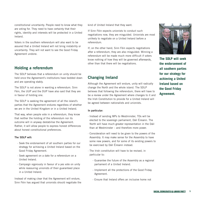constitutional uncertainty. People need to know what they are voting for. They need to have certainty that their rights, identity and interests will be protected in a United Ireland.

Voters in the southern referendum will also want to be assured that a United Ireland will not bring instability or uncertainty. They will not want to see the Good Friday Agreement undone.

## **Holding a referendum**

The SDLP believes that a referendum on unity should be held once the Agreement's institutions have bedded down and are operating stably.

The SDLP is not alone in wanting a referendum. Sinn Féin, the UUP and the DUP have also said that they are in favour of holding one.

The SDLP is seeking the agreement of all the island's parties that the Agreement endures regardless of whether we are in the United Kingdom or in a United Ireland.

That way, when people vote in a referendum, they know that neither the holding of the referendum nor its outcome will in anyway destabilise the Agreement. Rather, it will allow people to express honest differences about honest constitutional preferences.

#### **The SDLP will:**

- · Seek the endorsement of all southern parties for our strategy for achieving a United Ireland based on the Good Friday Agreement.
- · Seek agreement on a date for a referendum on a United Ireland.
- · Campaign vigorously in favour of a yes vote on unity while reassuring unionists of their guaranteed place in a United Ireland.

Instead of making clear that the Agreement will endure, Sinn Féin has argued that unionists should negotiate the kind of United Ireland that they want.

If Sinn Féin expects unionists to conduct such negotiations now, they are misguided. Unionists are most unlikely to negotiate on a United Ireland before a referendum.

If, on the other hand, Sinn Féin expects negotiations after a referendum, they are also misguided. Winning a referendum will be made much more difficult if voters know nothing of how they will be governed afterwards, other than that there will be negotiations.

# **Changing Ireland**

Although the Agreement will endure, unity will radically change the North and the whole island. The SDLP believes that following the referendum, there will have to be a review under the Agreement where changes to it and the Irish Constitution to provide for a United Ireland will be agreed between nationalists and unionists.

#### **In particular:**

- · Instead of sending MPs to Westminster, TDs will be elected to the sovereign parliament, Dáil Éireann. The North will have much greater representation in the Dáil than at Westminster – and therefore more power.
- · Consideration will need to be given to the powers of the Assembly. It may make sense for the Assembly to have some new powers, and for some of its existing powers to be exercised by Dáil Éireann instead.
- · The Irish constitution will have to be revised, in particular to:
	- Guarantee the future of the Assembly as a regional parliament of a United Ireland.
	- Implement all the protections of the Good Friday Agreement.
	- Ensure that Ireland offers an inclusive home not



**The SDLP will seek the endorsement of all southern parties for our strategy for achieving a United Ireland based on the Good Friday Agreement.**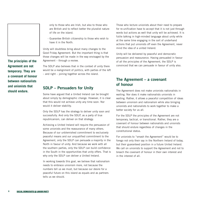**The principles of the Agreement are not temporary. They are a covenant of honour between nationalists and unionists that should endure.** 

only to those who are Irish, but also to those who are British and to reflect better the pluralist nature of life on the island.

- Guarantee British citizenship to those who wish to have it in the North.

Unity will doubtless bring about many changes to the Good Friday Agreement. But the important thing is that those changes will be made in the way envisaged by the Agreement – through a review.

The SDLP also believes that in the context of unity there would be a realignment of politics, with parties of the left – and right – joining together across the island.

### **SDLP – Persuaders for Unity**

Some have argued that a United Ireland can be brought about simply by demographic change. However, it is clear that this would not achieve unity any time soon. Nor would it deliver stability.

Only the SDLP has the strategy to deliver unity soon and successfully. And only the SDLP, as a party of true republicanism, can deliver on that strategy.

Achieving a United Ireland will require the persuasion of some unionists and the reassurance of many others. Because of our unblemished commitment to exclusively peaceful means and our unqualified commitment to the Agreement, only the SDLP can persuade a majority in the North in favour of unity. And because we work with all the southern parties, only the SDLP can build confidence in the South in the opportunities that unity offers. That is why only the SDLP can deliver a United Ireland.

In working towards this goal, we believe that nationalism needs to embrace unionism more, not because the numbers tell us we must, but because our desire for a peaceful future on this island as equals and as partners tells us we should.

Those who lecture unionists about their need to prepare for re-unification have to accept that it is not just through words but actions as well that unity will be achieved. It is futile talking in high-minded language about unity while at the same time engaging in the sort of underhand actions that put unionists off even the Agreement, never mind the idea of a united Ireland.

Unity will be delivered by peaceful and democratic persuasion and reassurance. Having persuaded in favour of all the principles of the Agreement, the SDLP is convinced that we can persuade in favour of unity also.

# **The Agreement – a covenant of honour**

The Agreement does not make unionists nationalists in waiting. Nor does it make nationalists unionists in waiting. Rather, it allows a peaceful competition of ideas between unionism and nationalism while also bringing unionists and nationalists to work together to make a better society for us all.

For the SDLP the principles of the Agreement are not temporary, tactical, or transitional. Rather, they are a covenant of honour between nationalists and unionists that should endure regardless of changes in the constitutional status.

For unionists to "smash the Agreement" would be to forego not only their say in the Northern Ireland of today, but their guaranteed position in a future United Ireland. We call on unionists to support the Agreement and not to breach the covenant of honour in their own interest and in the interest of all.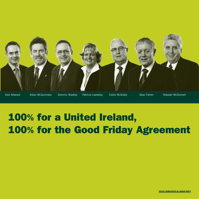

# 100% for a United Ireland, 100% for the Good Friday Agreement

**SOCIAL DEMOCRATIC & LABOUR PARTY**